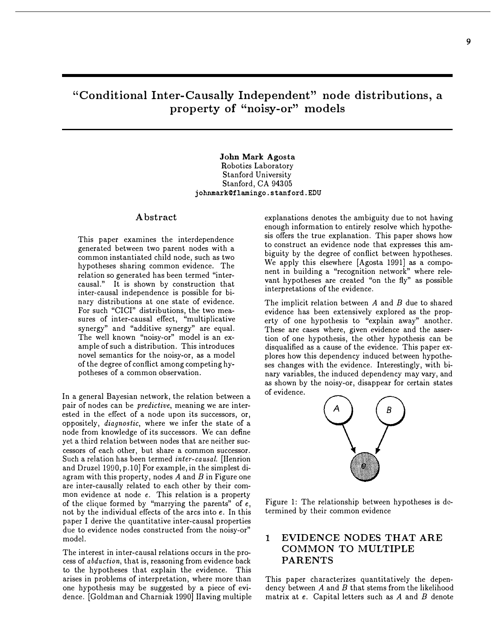# "Conditional Inter-Causally Independent" node distributions, a property of "noisy-or" models

## John Mark Agosta Robotics Laboratory Stanford University Stanford, CA 94305 johnmarkOflamingo.stanford.EDU

# Abstract

This paper examines the interdependence generated between two parent nodes with a common instantiated child node, such as two hypotheses sharing common evidence. The relation so generated has been termed "intercausal." It is shown by construction that inter-causal independence is possible for binary distributions at one state of evidence. For such "CICI" distributions, the two measures of inter-causal effect, "multiplicative synergy" and "additive synergy" are equal. The well known "noisy-or" model is an example of such a distribution. This introduces novel semantics for the noisy-or, as a model of the degree of conflict among competing hypotheses of a common observation.

In a general Bayesian network, the relation between a pair of nodes can be *predictive*, meaning we are interested in the effect of a node upon its successors, or, oppositely, diagnostic, where we infer the state of a node from knowledge of its successors. We can define yet a third relation between nodes that are neither successors of each other, but share a common successor. Such a relation has been termed inter-causal. (Henrion and Druzel 1990, p.10] For example, in the simplest diagram with this property, nodes  $A$  and  $B$  in Figure one are inter-causally related to each other by their common evidence at node e. This relation is a property of the clique formed by "marrying the parents" of  $e$ , not by the individual effects of the arcs into e. In this paper I derive the quantitative inter-causal properties due to evidence nodes constructed from the noisy-or" model.

The interest in inter-causal relations occurs in the process of abduction, that is, reasoning from evidence back to the hypotheses that explain the evidence. This arises in problems of interpretation, where more than one hypothesis may be suggested by a piece of evidence. (Goldman and Charniak 1990] Having multiple explanations denotes the ambiguity due to not having enough information to entirely resolve which hypothesis offers the true explanation. This paper shows how to construct an evidence node that expresses this ambiguity by the degree of conflict between hypotheses. We apply this elsewhere (Agosta 1991] as a component in building a "recognition network" where relevant hypotheses are created "on the fly" as possible interpretations of the evidence.

The implicit relation between  $A$  and  $B$  due to shared evidence has been extensively explored as the property of one hypothesis to "explain away" another. These are cases where, given evidence and the assertion of one hypothesis, the other hypothesis can be disqualified as a cause of the evidence. This paper explores how this dependency induced between hypotheses changes with the evidence. Interestingly, with binary variables, the induced dependency may vary, and as shown by the noisy-or, disappear for certain states of evidence.



Figure 1: The relationship between hypotheses is determined by their common evidence

# 1 EVIDENCE NODES THAT ARE COMMON TO MULTIPLE PARENTS

This paper characterizes quantitatively the dependency between  $A$  and  $B$  that stems from the likelihood matrix at  $e$ . Capital letters such as  $A$  and  $B$  denote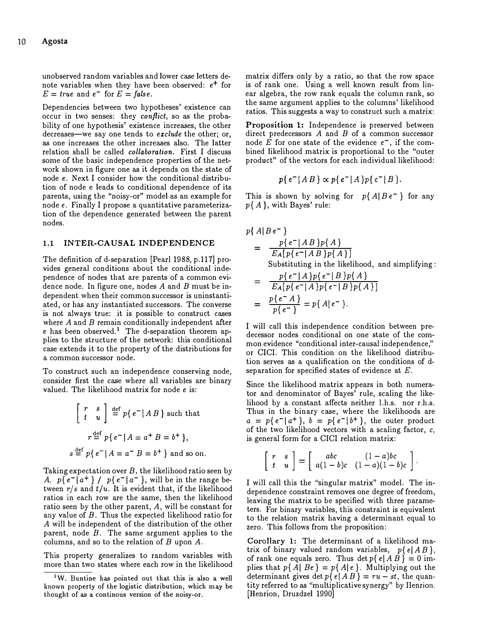unobserved random variables and lower case letters denote variables when they have been observed:  $e^+$  for  $E = true$  and  $e^-$  for  $E = false$ .

Dependencies between two hypotheses' existence can occur in two senses: they conflict, so as the probability of one hypothesis' existence increases, the other decreases—we say one tends to  $\emph{exclude}$  the other; or, as one increases the other increases also. The latter relation shall be called *collaboration*. First I discuss some of the basic independence properties of the network shown in figure one as it depends on the state of node e. Next I consider how the conditional distribution of node e leads to conditional dependence of its parents, using the "noisy-or" model as an example for node e. Finally I propose a quantitative parameterization of the dependence generated between the parent nodes.

## 1.1 INTER-CAUSAL INDEPENDENCE

The definition of d-separation [Pearl 1988, p.117] provides general conditions about the conditional independence of nodes that are parents of a common evidence node. In figure one, nodes  $A$  and  $B$  must be independent when their common successor is uninstantiated, or has any instantiated successors. The converse is not always true: it is possible to construct cases where  $A$  and  $B$  remain conditionally independent after  $e$  has been observed.<sup>1</sup> The d-separation theorem applies to the structure of the network: this conditional case extends it to the property of the distributions for a common successor node.

To construct such an independence conserving node, consider first the case where all variables are binary valued. The likelihood matrix for node e is:

$$
\begin{bmatrix} r & s \\ t & u \end{bmatrix} \stackrel{\text{def}}{=} p \{ e^- | AB \} \text{ such that}
$$

$$
r \stackrel{\text{def}}{=} p \{ e^- | A = a^+ B = b^+ \},
$$

$$
s \stackrel{\text{def}}{=} p \{ e^- | A = a^- B = b^+ \} \text{ and so on.}
$$

Taking expectation over  $B$ , the likelihood ratio seen by A,  $p\{e^-|a^+\}\}/p\{e^-|a^-\}$ , will be in the range between  $r/s$  and  $t/u$ . It is evident that, if the likelihood ratios in each row are the same, then the likelihood ratio seen by the other parent, A, will be constant for any value of B. Thus the expected likelihood ratio for A will be independent of the distribution of the other parent, node  $B$ . The same argument applies to the columns, and so to the relation of  $B$  upon  $A$ .

This property generalizes to random variables with more than two states where each row in the likelihood

matrix differs only by a ratio, so that the row space is of rank one. Using a well known result from linear algebra, the row rank equals the column rank, so the same argument applies to the columns' likelihood ratios. This suggests a way to construct such a matrix:

Proposition 1: Independence is preserved between direct predecessors  $A$  and  $B$  of a common successor node E for one state of the evidence  $e^-$ , if the combined likelihood matrix is proportional to the "outer product" of the vectors for each individual likelihood:

$$
p\{e^-|AB\}\propto p\{e^-|A\}p\{e^-|B\}.
$$

This is shown by solving for  $p\{A|Be^{-}\}\$  for any  $p\{A\}$ , with Bayes' rule:

$$
p\{A|Be^{-}\}\
$$
\n
$$
= \frac{p\{e^{-}|AB\}p\{A\}}{EA[p\{e^{-}|AB\}p\{A\}]}
$$
\nSubstituting in the likelihood, and simplifying:\n
$$
= \frac{p\{e^{-}|A\}p\{e^{-}|B\}p\{A\}}{EA[p\{e^{-}|A\}p\{e^{-}|B\}p\{A\}]}
$$
\n
$$
= \frac{p\{e^{-}A\}}{p\{e^{-}\}} = p\{A|e^{-}\}.
$$

I will call this independence condition between predecessor nodes conditional on one state of the common evidence "conditional inter-causal independence," or CICI. This condition on the likelihood distribution serves as a qualification on the conditions of dseparation for specified states of evidence at  $E$ .

Since the likelihood matrix appears in both numerator and denominator of Bayes' rule, scaling the likelihood by a constant affects neither l.h.s. nor r.h.s. Thus in the binary case, where the likelihoods are  $a = p\{e^-|a^+\}, b = p\{e^-|b^+\},$  the outer product of the two likelihood vectors with a scaling factor, c, is general form for a CICI relation matrix:

$$
\left[\begin{array}{cc} r & s \\ t & u \end{array}\right] = \left[\begin{array}{cc} abc & (1-a)bc \\ a(1-b)c & (1-a)(1-b)c \end{array}\right].
$$

I will call this the "singular matrix" model. The independence constraint removes one degree of freedom, leaving the matrix to be specified with three parameters. For binary variables, this constraint is equivalent to the relation matrix having a determinant equal to zero. This follows from the proposition:

Corollary 1: The determinant of a likelihood matrix of binary valued random variables,  $p\{e|AB\}$ , of rank one equals zero. Thus det  $p\{e \mid AB\} = 0$  implies that  $p\{A \mid Be\} = p\{A \mid e\}$ . Multiplying out the determinant gives det  $p\{e \mid AB\} = ru - st$ , the quantity referred to as "multiplicative synergy" by Ilenrion. [Henrion, Druzdzel 1990]

<sup>1</sup>W. Buntine has pointed out that this is also a well known property of the logistic distribution, which may be thought of as a continous version of the noisy-or.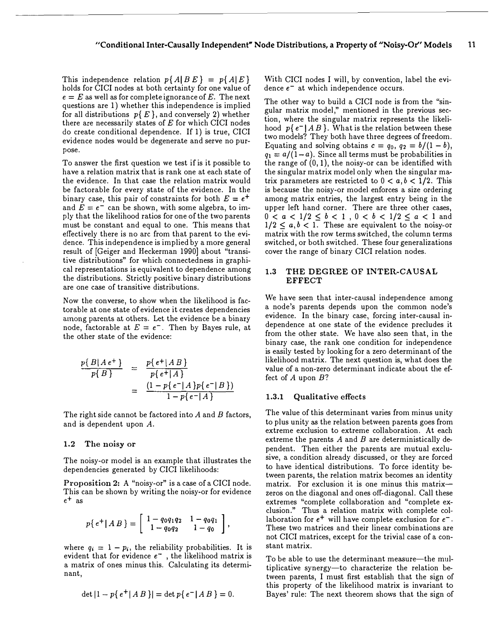This independence relation  $p\{A|BE\} = p\{A|E\}$ holds for CICI nodes at both certainty for one value of  $e = E$  as well as for complete ignorance of E. The next questions are 1) whether this independence is implied for all distributions  $p\{E\}$ , and conversely 2) whether there are necessarily states of  $E$  for which CICI nodes do create conditional dependence. If 1) is true, CICI evidence nodes would be degenerate and serve no purpose.

To answer the first question we test if is it possible to have a relation matrix that is rank one at each state of the evidence. In that case the relation matrix would be factorable for every state of the evidence. In the binary case, this pair of constraints for both  $E = e^+$ and  $E = e^-$  can be shown, with some algebra, to imply that the likelihood ratios for one of the two parents must be constant and equal to one. This means that effectively there is no arc from that parent to the evidence. This independence is implied by a more general result of [Geiger and Heckerman 1990] about "transitive distributions" for which connectedness in graphical representations is equivalent to dependence among the distributions. Strictly positive binary distributions are one case of transitive distributions.

Now the converse, to show when the likelihood is factorable at one state of evidence it creates dependencies among parents at others. Let the evidence be a binary node, factorable at  $E = e^-$ . Then by Bayes rule, at the other state of the evidence:

$$
\frac{p{B|Ae^+}}{p{B}} = \frac{p{e^+|AB}}{p{e^+|A}}
$$

$$
= \frac{(1-p{e^-|A}p{e^-|B})}{1-p{e^-|A}}
$$

The right side cannot be factored into  $A$  and  $B$  factors, and is dependent upon A.

#### 1.2 The noisy or

The noisy-or model is an example that illustrates the dependencies generated by CICI likelihoods:

Proposition 2: A "noisy-or" is a case of a CICI node. This can be shown by writing the noisy-or for evidence  $e^+$  as

$$
p\{e^+|AB\} = \left[\begin{array}{cc} 1-q_0q_1q_2 & 1-q_0q_1 \\ 1-q_0q_2 & 1-q_0 \end{array}\right],
$$

where  $q_i = 1 - p_i$ , the reliability probabilities. It is evident that for evidence  $e^-$  , the likelihood matrix is a matrix of ones minus this. Calculating its determinant,

$$
\det |1 - p\{e^+|AB\}| = \det p\{e^-|AB\} = 0.
$$

With CICI nodes I will, by convention, label the evidence  $e^-$  at which independence occurs.

The other way to build a CICI node is from the "singular matrix model," mentioned in the previous section, where the singular matrix represents the likelihood  $p\{e^-|AB\}$ . What is the relation between these two models? They both have three degrees of freedom. Equating and solving obtains  $c = q_0$ ,  $q_2 = b/(1-b)$ ,  $q_1 = a/(1-a)$ . Since all terms must be probabilities in the range of  $(0, 1)$ , the noisy-or can be identified with the singular matrix model only when the singular matrix parameters are restricted to  $0 < a, b < 1/2$ . This is because the noisy-or model enforces a size ordering among matrix entries, the largest entry being in the upper left hand corner. There are three other cases,  $0 < a < 1/2 \le b < 1$  ,  $0 < b < 1/2 \le a < 1$  and  $1/2 \leq a, b < 1$ . These are equivalent to the noisy-or matrix with the row terms switched, the column terms switched, or both switched. These four generalizations cover the range of binary CICI relation nodes.

# 1.3 THE DEGREE OF INTER-CAUSAL **EFFECT**

We have seen that inter-causal independence among a node's parents depends upon the common node's evidence. In the binary case, forcing inter-causal independence at one state of the evidence precludes it from the other state. We have also seen that, in the binary case, the rank one condition for independence is easily tested by looking for a zero determinant of the likelihood matrix. The next question is, what does the value of a non-zero determinant indicate about the effect of A upon B?

#### 1.3.1 Qualitative effects

The value of this determinant varies from minus unity to plus unity as the relation between parents goes from extreme exclusion to extreme collaboration. At each extreme the parents A and B are deterministically dependent. Then either the parents are mutual exclusive, a condition already discussed, or they are forced to have identical distributions. To force identity between parents, the relation matrix becomes an identity matrix. For exclusion it is one minus this matrixzeros on the diagonal and ones off-diagonal. Call these extremes "complete collaboration and "complete exclusion." Thus a relation matrix with complete collaboration for  $e^+$  will have complete exclusion for  $e^-$ . These two matrices and their linear combinations are not CICI matrices, except for the trivial case of a constant matrix.

To be able to use the determinant measure—the multiplicative synergy-to characterize the relation between parents, I must first establish that the sign of this property of the likelihood matrix is invariant to Bayes' rule: The next theorem shows that the sign of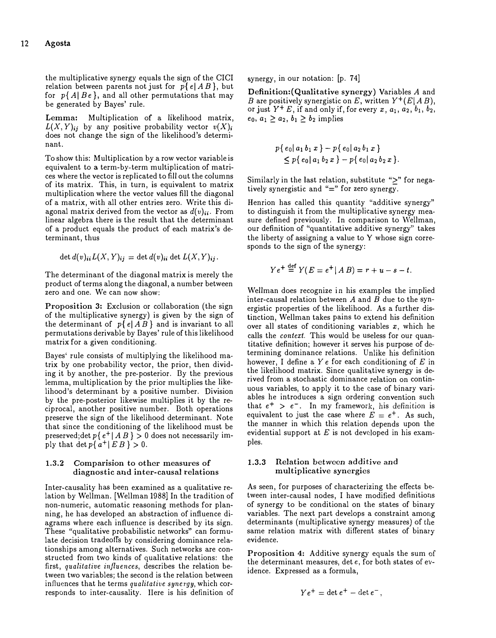the multiplicative synergy equals the sign of the CICI relation between parents not just for  $p\{e \mid AB\}$ , but for  $p\{A|Be\}$ , and all other permutations that may be generated by Bayes' rule.

Lemma: Multiplication of a likelihood matrix,  $L(X, Y)_{ij}$  by any positive probability vector  $v(X)_{ij}$ does not change the sign of the likelihood's determinant.

To show this: Multiplication by a row vector variable is equivalent to a term-by-term multiplication of matrices where the vector is replicated to fill out the columns of its matrix. This, in turn, is equivalent to matrix multiplication where the vector values fill the diagonal of a matrix, with all other entries zero. Write this diagonal matrix derived from the vector as  $d(v)_{ii}$ . From linear algebra there is the result that the determinant of a product equals the product of each matrix's determinant, thus

$$
\det d(v)_{ii} L(X, Y)_{ij} = \det d(v)_{ii} \det L(X, Y)_{ij}.
$$

The determinant of the diagonal matrix is merely the product of terms along the diagonal, a number between zero and one. We can now show:

Proposition 3: Exclusion or collaboration (the sign of the multiplicative synergy) is given by the sign of the determinant of  $p\{e|AB\}$  and is invariant to all permutations derivable by Bayes' rule of this likelihood matrix for a given conditioning.

Bayes' rule consists of multiplying the likelihood matrix by one probability vector, the prior, then dividing it by another, the pre-posterior. By the previous lemma, multiplication by the prior multiplies the likelihood's determinant by a positive number. Division by the pre-posterior likewise multiplies it by the reciprocal, another positive number. Both operations preserve the sign of the likelihood determinant. Note that since the conditioning of the likelihood must be preserved; det  $p\{e^+ | AB\} > 0$  does not necessarily imply that det  $p\{a^+ | EB\} > 0$ .

# 1.3.2 Comparision to other measures of diagnostic and inter-causal relations

Inter-causality has been examined as a qualitative relation by Wellman. (Wellman 1988) In the tradition of non-numeric, automatic reasoning methods for planning, he has developed an abstraction of influence diagrams where each influence is described by its sign. These "qualitative probabilistic networks" can formulate decision tradeoffs by considering dominance relationships among alternatives. Such networks are constructed from two kinds of qualitative relations: the first, qualitative influences, describes the relation between two variables; the second is the relation between influences that he terms qualitative synergy, which corresponds to inter-causality. Here is his definition of synergy, in our notation: (p. 74)

Definition: (Qualitative synergy) Variables A and B are positively synergistic on E, written  $Y^+(E|AB)$ , or just  $Y^+ E$ , if and only if, for every x,  $a_1$ ,  $a_2$ ,  $b_1$ ,  $b_2$ ,  $e_0, a_1 \geq a_2, b_1 \geq b_2$  implies

$$
p\{e_0|a_1b_1x\} - p\{e_0|a_2b_1x\} \leq p\{e_0|a_1b_2x\} - p\{e_0|a_2b_2x\}.
$$

Similarly in the last relation, substitute " $\geq$ " for negatively synergistic and "=" for zero synergy.

Henrion has called this quantity "additive synergy" to distinguish it from the multiplicative synergy measure defined previously. In comparison to Wellman, our definition of "quantitative additive synergy" takes the liberty of assigning a value to  $Y$  whose sign corresponds to the sign of the synergy:

$$
Ye^{+} \stackrel{\text{def}}{=} Y(E = e^{+} | AB) = r + u - s - t.
$$

Wellman does recognize in his examples the implied inter-causal relation between  $A$  and  $B$  due to the synergistic properties of the likelihood. As a further distinction, Wellman takes pains to extend his definition over all states of conditioning variables  $x$ , which he calls the *context*. This would be useless for our quantitative definition; however it serves his purpose of determining dominance relations. Unlike his definition however, I define a  $Y e$  for each conditioning of  $E$  in the likelihood matrix. Since qualitative synergy is derived from a stochastic dominance relation on continuous variables, to apply it to the case of binary variables he introduces a sign ordering convention such that  $e^+ > e^-$ . In my framework, his definition is equivalent to just the case where  $E = e^+$ . As such, the manner in which this relation depends upon the evidential support at  $E$  is not developed in his examples.

# 1.3.3 Relation between additive and multiplicative synergies

As seen, for purposes of characterizing the effects between inter-causal nodes, I have modified definitions of synergy to be conditional on the states of binary variables. The next part develops a constraint among determinants (multiplicative synergy measures) of the same relation matrix with different states of binary evidence.

Proposition 4: Additive synergy equals the sum of the determinant measures, det e, for both states of evidence. Expressed as a formula,

$$
Ye^+ = \det e^+ - \det e^-,
$$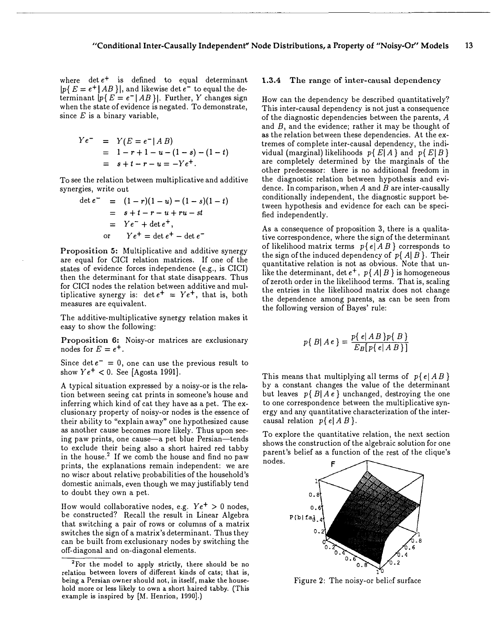where  $\det e^+$  is defined to equal determinant  $|p\{E = e^+|AB\}|$ , and likewise det  $e^-$  to equal the determinant  $|p\{E = e^-|AB\}|$ . Further, Y changes sign when the state of evidence is negated. To demonstrate, since  $E$  is a binary variable,

$$
Ye^{-} = Y(E = e^{-} | AB)
$$
  
= 1 - r + 1 - u - (1 - s) - (1 - t)  
= s + t - r - u = -Ye^{+}.

To see the relation between multiplicative and additive synergies, write out

$$
\det e^{-} = (1 - r)(1 - u) - (1 - s)(1 - t)
$$
  
=  $s + t - r - u + ru - st$   
=  $Ye^{-} + \det e^{+}$ ,  
or  $Ye^{+} = \det e^{+} - \det e^{-}$ 

Proposition 5: Multiplicative and additive synergy are equal for CICI relation matrices. If one of the states of evidence forces independence (e.g., is CICI) then the determinant for that state disappears. Thus for CICI nodes the relation between additive and multiplicative synergy is:  $\det e^+ = Y e^+$ , that is, both measures are equivalent.

The additive-multiplicative synergy relation makes it easy to show the following:

Proposition 6: Noisy-or matrices are exclusionary nodes for  $E = e^+$ .

Since det  $e^- = 0$ , one can use the previous result to show  $Ye^{+} < 0$ . See [Agosta 1991].

A typical situation expressed by a noisy-or is the relation between seeing cat prints in someone's house and inferring which kind of cat they have as a pet. The exclusionary property of noisy-or nodes is the essence of their ability to "explain away" one hypothesized cause as another cause becomes more likely. Thus upon seeing paw prints, one cause-a pet blue Persian-tends to exclude their being also a short haired red tabby in the house.<sup>2</sup> If we comb the house and find no paw prints, the explanations remain independent: we are no wiser about relative probabilities of the household's domestic animals, even though we may justifiably tend to doubt they own a pet.

How would collaborative nodes, e.g.  $Ye^{+} > 0$  nodes, be constructed? Recall the result in Linear Algebra that switching a pair of rows or columns of a matrix switches the sign of a matrix's determinant. Thus they can be built from exclusionary nodes by switching the off-diagonal and on-diagonal elements.

### 1.3.4 The range of inter-causal dependency

How can the dependency be described quantitatively? This inter-causal dependency is not just a consequence of the diagnostic dependencies between the parents, A and  $B$ , and the evidence; rather it may be thought of as the relation between these dependencies. At the extremes of complete inter-causal dependency, the individual (marginal) likelihoods  $p\{E|A\}$  and  $p\{E|B\}$ are completely determined by the marginals of the other predecessor: there is no additional freedom in the diagnostic relation between hypothesis and evidence. In comparison, when  $A$  and  $B$  are inter-causally conditionally independent, the diagnostic support between hypothesis and evidence for each can be specified independently.

As a consequence of proposition 3, there is a qualitative correspondence, where the sign of the determinant of likelihood matrix terms  $p\{e \mid AB\}$  corresponds to the sign of the induced dependency of  $p\{A|B\}$ . Their quantitative relation is not as obvious. Note that unlike the determinant, det  $e^+$ ,  $p\{A|B\}$  is homogeneous of zeroth order in the likelihood terms. That is, scaling the entries in the likelihood matrix does not change the dependence among parents, as can be seen from the following version of Bayes' rule:

$$
p\{\,B|\,A\,e\,\} = \frac{p\{\,e|\,A\,B\,}\,p\{\,B\,\}}{E_B\,[\,p\,\{\,e\,|\,A\,B\,\}]\,}
$$

This means that multiplying all terms of  $p\{e|AB\}$ by a constant changes the value of the determinant but leaves  $p\{B|Ae\}$  unchanged, destroying the one to one correspondence between the multiplicative synergy and any quantitative characterization of the intercausal relation  $p\{e|AB\}$ .

To explore the quantitative relation, the next section shows the construction of the algebraic solution for one parent's belief as a function of the rest of the clique's nodes.



Figure 2: The noisy-or belief surface

<sup>&</sup>lt;sup>2</sup>For the model to apply strictly, there should be no relation between lovers of different kinds of cats; that is, being a Persian owner should not, in itself, make the household more or less likely to own a short haired tabby. (This example is inspired by (M. Henrion, 1990].)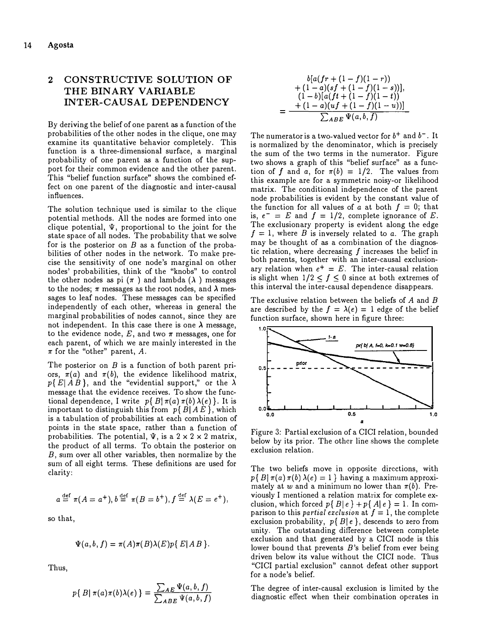# 2 CONSTRUCTIVE SOLUTION OF THE BINARY VARIABLE INTER-CAUSAL DEPENDENCY

By deriving the belief of one parent as a function of the probabilities of the other nodes in the clique, one may examine its quantitative behavior completely. This function is a three-dimensional surface, a marginal probability of one parent as a function of the support for their common evidence and the other parent. This "belief function surface" shows the combined effect on one parent of the diagnostic and inter-causal influences.

The solution technique used is similar to the clique potential methods. All the nodes are formed into one clique potential,  $\Psi$ , proportional to the joint for the state space of all nodes. The probability that we solve for is the posterior on  $B$  as a function of the probabilities of other nodes in the network. To make precise the sensitivity of one node's marginal on other nodes' probabilities, think of the "knobs" to control the other nodes as pi  $(\pi)$  and lambda  $(\lambda)$  messages to the nodes;  $\pi$  messages as the root nodes, and  $\lambda$  messages to leaf nodes. These messages can be specified independently of each other, whereas in general the marginal probabilities of nodes cannot, since they are not independent. In this case there is one  $\lambda$  message, to the evidence node, E, and two  $\pi$  messages, one for each parent, of which we are mainly interested in the  $\pi$  for the "other" parent, A.

The posterior on  $B$  is a function of both parent priors,  $\pi(a)$  and  $\pi(b)$ , the evidence likelihood matrix,  $p\{E|AB\}$ , and the "evidential support," or the  $\lambda$ message that the evidence receives. To show the functional dependence, I write  $p\{B|\pi(a)\pi(b)\lambda(e)\}\.$  It is important to distinguish this from  $p\{B|AE\}$ , which is a tabulation of probabilities at each combination of points in the state space, rather than a function of probabilities. The potential,  $\Psi$ , is a 2 x 2 x 2 matrix, the product of all terms. To obtain the posterior on B, sum over all other variables, then normalize by the sum of all eight terms. These definitions are used for clarity:

$$
a \stackrel{\text{def}}{=} \pi(A = a^+), b \stackrel{\text{def}}{=} \pi(B = b^+), f \stackrel{\text{def}}{=} \lambda(E = e^+),
$$

so that,

$$
\Psi(a,b,f)=\pi(A)\pi(B)\lambda(E)p\{E|AB\}.
$$

Thus,

$$
p\{\,B|\,\pi(a)\pi(b)\lambda(e)\,\}=\frac{\sum_{AE}\Psi(a,b,f)}{\sum_{ABE}\Psi(a,b,f)}
$$

$$
b[a(fr + (1 - f)(1 - r)) + (1 - a)(sf + (1 - f)(1 - s))],
$$
  
+ (1 - a)(sf + (1 - f)(1 - s))  
= 
$$
\frac{+(1 - a)(uf + (1 - f)(1 - u))}{\sum_{ABE} \Psi(a, b, f)}
$$

The numerator is a two-valued vector for  $b^+$  and  $b^-$  . It is normalized by the denominator, which is precisely the sum of the two terms in the numerator. Figure two shows a graph of this "belief surface" as a function of f and a, for  $\pi(b) = 1/2$ . The values from this example are for a symmetric noisy-or likelihood matrix. The conditional independence of the parent node probabilities is evident by the constant value of the function for all values of a at both  $f = 0$ ; that is,  $e^- = E$  and  $f = 1/2$ , complete ignorance of E. The exclusionary property is evident along the edge  $f = 1$ , where B is inversely related to a. The graph may be thought of as a combination of the diagnostic relation, where decreasing  $f$  increases the belief in both parents, together with an inter-causal exclusionary relation when  $e^+ = E$ . The inter-causal relation is slight when  $1/2 \le f \le 0$  since at both extremes of this interval the inter-causal dependence disappears.

The exclusive relation between the beliefs of  $A$  and  $B$ are described by the  $f = \lambda(e) = 1$  edge of the belief function surface, shown here in figure three:



Figure 3: Partial exclusion of a CICI relation, bounded below by its prior. The other line shows the complete exclusion relation.

The two beliefs move in opposite directions, with  $p\{B|\pi(a)\pi(b)\lambda(e)=1\}$  having a maximum approximately at w and a minimum no lower than  $\pi(b)$ . Previously I mentioned a relation matrix for complete exclusion, which forced  $p\{B|e\} + p\{A|e\} = 1$ . In comparison to this *partial exclusion* at  $f = 1$ , the complete exclusion probability,  $p\{B|e\}$ , descends to zero from unity. The outstanding difference between complete exclusion and that generated by a CICI node is this lower bound that prevents  $B$ 's belief from ever being driven below its value without the CICI node. Thus "CICI partial exclusion" cannot defeat other support for a node's belief.

The degree of inter-causal exclusion is limited by the diagnostic effect when their combination operates in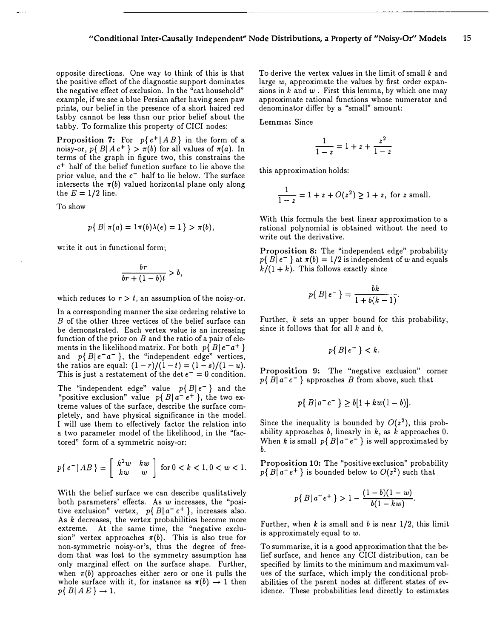opposite directions. One way to think of this is that the positive effect of the diagnostic support dominates the negative effect of exclusion. In the "cat household" example, if we see a blue Persian after having seen paw prints, our belief in the presence of a short haired red tabby cannot be less than our prior belief about the tabby. To formalize this property of CICI nodes:

Proposition 7: For  $p\{e^+ | AB\}$  in the form of a noisy-or,  $p\{B|Ae^+\} > \pi(b)$  for all values of  $\pi(a)$ . In terms of the graph in figure two, this constrains the  $e^+$  half of the belief function surface to lie above the prior value, and the  $e^-$  half to lie below. The surface intersects the  $\pi(b)$  valued horizontal plane only along the  $E = 1/2$  line.

To show

$$
p\{ B | \pi(a) = 1\pi(b)\lambda(e) = 1 \} > \pi(b),
$$

write it out in functional form;

$$
\frac{br}{br + (1-b)t} > b,
$$

which reduces to  $r > t$ , an assumption of the noisy-or.

In a corresponding manner the size ordering relative to B of the other three vertices of the belief surface can be demonstrated. Each vertex value is an increasing function of the prior on  $B$  and the ratio of a pair of elements in the likelihood matrix. For both  $p\{B|e^-a^+\}$ and  $p\{B|e^-a^-\}$ , the "independent edge" vertices, the ratios are equal:  $(1 - r)/(1 - t) = (1 - s)/(1 - u)$ . This is just a restatement of the det  $e^- = 0$  condition.

The "independent edge" value  $p\{B | e^{-}\}\$  and the "positive exclusion" value  $p\{B | a^+ e^+\}$ , the two extreme values of the surface, describe the surface completely, and have physical significance in the model. I will use them to effectively factor the relation into a two parameter model of the likelihood, in the "factored" form of a symmetric noisy-or:

$$
p\{e^-|AB\} = \left[\begin{array}{cc} k^2w & kw \\ kw & w \end{array}\right] \text{ for } 0 < k < 1, 0 < w < 1.
$$

With the belief surface we can describe qualitatively both parameters' effects. As  $w$  increases, the "positive exclusion" vertex,  $p\{B | a^- e^+ \}$ , increases also. As  $k$  decreases, the vertex probabilities become more extreme. At the same time, the "negative exclusion" vertex approaches  $\pi(b)$ . This is also true for non-symmetric noisy-or's, thus the degree of freedom that was lost to the symmetry assumption has only marginal effect on the surface shape. Further, when  $\pi(b)$  approaches either zero or one it pulls the whole surface with it, for instance as  $\pi(b) \rightarrow 1$  then  $p\{B|AE\} \rightarrow 1.$ 

To derive the vertex values in the limit of small  $k$  and large  $w$ , approximate the values by first order expansions in  $k$  and  $w$ . First this lemma, by which one may approximate rational functions whose numerator and denominator differ by a "small" amount:

Lemma: Since

$$
\frac{1}{1-z} = 1 + z + \frac{z^2}{1-z}
$$

this approximation holds:

$$
\frac{1}{1-z} = 1 + z + O(z^2) \ge 1 + z
$$
, for z small.

With this formula the best linear approximation to a rational polynomial is obtained without the need to write out the derivative.

Proposition 8: The "independent edge" probability  $p\{ B | e^- \}$  at  $\pi(b) = 1/2$  is independent of w and equals  $k/(1 + k)$ . This follows exactly since

$$
p\{\,B\,|\,e^-\,\}=\frac{bk}{1+b(k-1)}.
$$

Further,  $k$  sets an upper bound for this probability, since it follows that for all  $k$  and  $b$ ,

$$
p\{B|e^{-}\} < k.
$$

Proposition 9: The "negative exclusion" corner  $p\{B|a^-e^-\}$  approaches B from above, such that

$$
p\{B|a^-e^-\}\geq b[1+kw(1-b)].
$$

Since the inequality is bounded by  $O(z^2)$ , this probability approaches  $b$ , linearly in  $k$ , as  $k$  approaches 0. When k is small  $p\{B|a^-e^-\}$  is well approximated by b.

Proposition 10: The "positive exclusion" probability  $p\{B|a^+e^+\}$  is bounded below to  $O(z^2)$  such that

$$
p\{B|a^-e^+\} > 1 - \frac{(1-b)(1-w)}{b(1-kw)}.
$$

Further, when  $k$  is small and  $b$  is near 1/2, this limit is approximately equal to w.

To summarize, it is a good approximation that the belief surface, and hence any CICI distribution, can be specified by limits to the minimum and maximum values of the surface, which imply the conditional probabilities of the parent nodes at different states of evidence. These probabilities lead directly to estimates